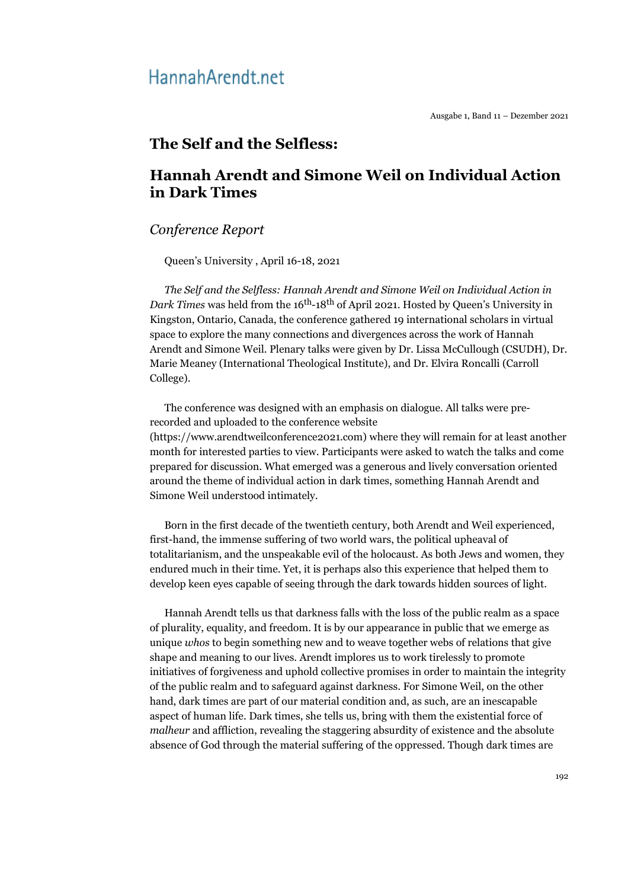# Hannah Arendt.net

Ausgabe 1, Band 11 – Dezember 2021

### **The Self and the Selfless:**

## **Hannah Arendt and Simone Weil on Individual Action in Dark Times**

#### *Conference Report*

Queen's University , April 16-18, 2021

*The Self and the Selfless: Hannah Arendt and Simone Weil on Individual Action in Dark Times* was held from the 16<sup>th</sup>-18<sup>th</sup> of April 2021. Hosted by Queen's University in Kingston, Ontario, Canada, the conference gathered 19 international scholars in virtual space to explore the many connections and divergences across the work of Hannah Arendt and Simone Weil. Plenary talks were given by Dr. Lissa McCullough (CSUDH), Dr. Marie Meaney (International Theological Institute), and Dr. Elvira Roncalli (Carroll College).

The conference was designed with an emphasis on dialogue. All talks were prerecorded and uploaded to the conference website (https://www.arendtweilconference2021.com) where they will remain for at least another month for interested parties to view. Participants were asked to watch the talks and come prepared for discussion. What emerged was a generous and lively conversation oriented around the theme of individual action in dark times, something Hannah Arendt and Simone Weil understood intimately.

Born in the first decade of the twentieth century, both Arendt and Weil experienced, first-hand, the immense suffering of two world wars, the political upheaval of totalitarianism, and the unspeakable evil of the holocaust. As both Jews and women, they endured much in their time. Yet, it is perhaps also this experience that helped them to develop keen eyes capable of seeing through the dark towards hidden sources of light.

Hannah Arendt tells us that darkness falls with the loss of the public realm as a space of plurality, equality, and freedom. It is by our appearance in public that we emerge as unique *whos* to begin something new and to weave together webs of relations that give shape and meaning to our lives. Arendt implores us to work tirelessly to promote initiatives of forgiveness and uphold collective promises in order to maintain the integrity of the public realm and to safeguard against darkness. For Simone Weil, on the other hand, dark times are part of our material condition and, as such, are an inescapable aspect of human life. Dark times, she tells us, bring with them the existential force of *malheur* and affliction, revealing the staggering absurdity of existence and the absolute absence of God through the material suffering of the oppressed. Though dark times are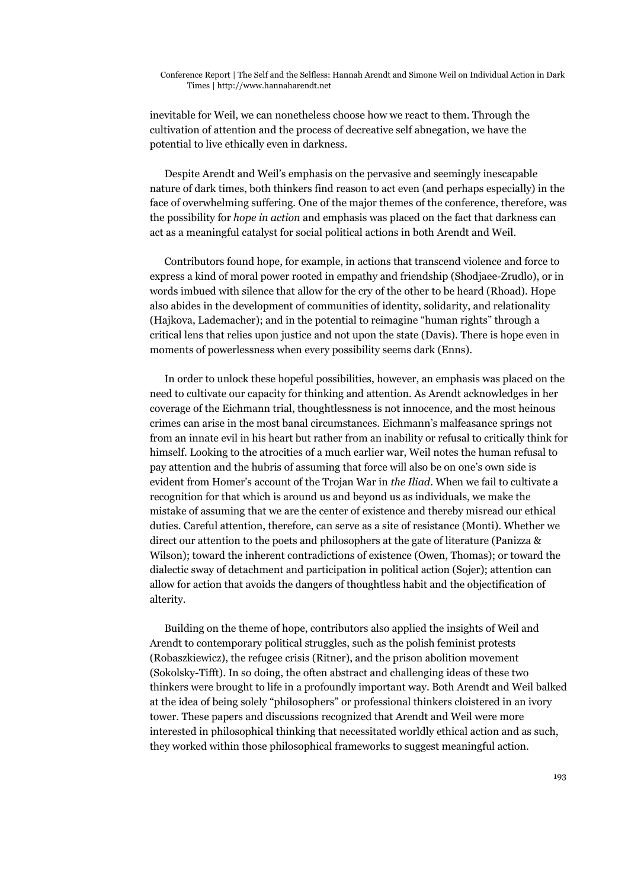Conference Report | The Self and the Selfless: Hannah Arendt and Simone Weil on Individual Action in Dark Times | http://www.hannaharendt.net

inevitable for Weil, we can nonetheless choose how we react to them. Through the cultivation of attention and the process of decreative self abnegation, we have the potential to live ethically even in darkness.

Despite Arendt and Weil's emphasis on the pervasive and seemingly inescapable nature of dark times, both thinkers find reason to act even (and perhaps especially) in the face of overwhelming suffering. One of the major themes of the conference, therefore, was the possibility for *hope in action* and emphasis was placed on the fact that darkness can act as a meaningful catalyst for social political actions in both Arendt and Weil.

Contributors found hope, for example, in actions that transcend violence and force to express a kind of moral power rooted in empathy and friendship (Shodjaee-Zrudlo), or in words imbued with silence that allow for the cry of the other to be heard (Rhoad). Hope also abides in the development of communities of identity, solidarity, and relationality (Hajkova, Lademacher); and in the potential to reimagine "human rights" through a critical lens that relies upon justice and not upon the state (Davis). There is hope even in moments of powerlessness when every possibility seems dark (Enns).

In order to unlock these hopeful possibilities, however, an emphasis was placed on the need to cultivate our capacity for thinking and attention. As Arendt acknowledges in her coverage of the Eichmann trial, thoughtlessness is not innocence, and the most heinous crimes can arise in the most banal circumstances. Eichmann's malfeasance springs not from an innate evil in his heart but rather from an inability or refusal to critically think for himself. Looking to the atrocities of a much earlier war, Weil notes the human refusal to pay attention and the hubris of assuming that force will also be on one's own side is evident from Homer's account of the Trojan War in *the Iliad*. When we fail to cultivate a recognition for that which is around us and beyond us as individuals, we make the mistake of assuming that we are the center of existence and thereby misread our ethical duties. Careful attention, therefore, can serve as a site of resistance (Monti). Whether we direct our attention to the poets and philosophers at the gate of literature (Panizza & Wilson); toward the inherent contradictions of existence (Owen, Thomas); or toward the dialectic sway of detachment and participation in political action (Sojer); attention can allow for action that avoids the dangers of thoughtless habit and the objectification of alterity.

Building on the theme of hope, contributors also applied the insights of Weil and Arendt to contemporary political struggles, such as the polish feminist protests (Robaszkiewicz), the refugee crisis (Ritner), and the prison abolition movement (Sokolsky-Tifft). In so doing, the often abstract and challenging ideas of these two thinkers were brought to life in a profoundly important way. Both Arendt and Weil balked at the idea of being solely "philosophers" or professional thinkers cloistered in an ivory tower. These papers and discussions recognized that Arendt and Weil were more interested in philosophical thinking that necessitated worldly ethical action and as such, they worked within those philosophical frameworks to suggest meaningful action.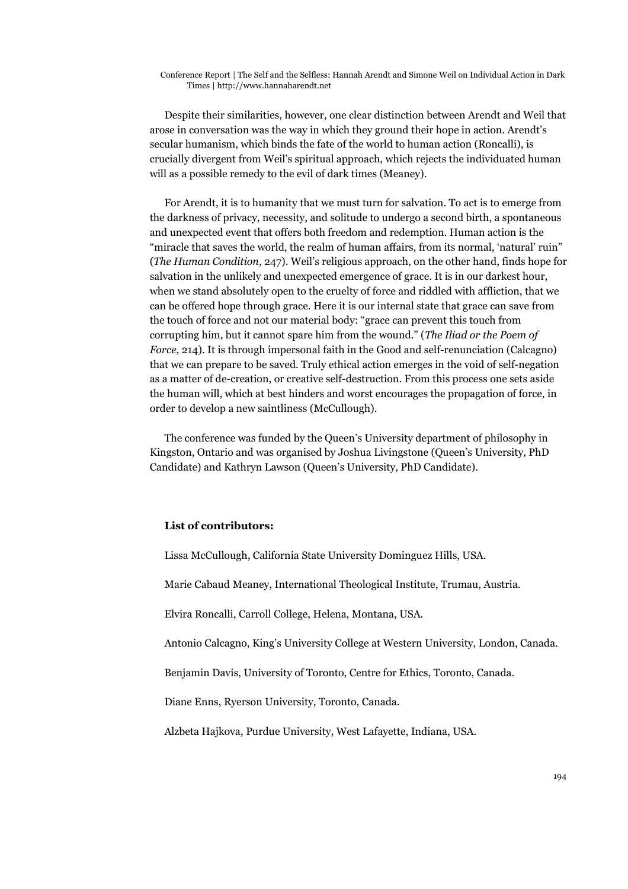Conference Report | The Self and the Selfless: Hannah Arendt and Simone Weil on Individual Action in Dark Times | http://www.hannaharendt.net

Despite their similarities, however, one clear distinction between Arendt and Weil that arose in conversation was the way in which they ground their hope in action. Arendt's secular humanism, which binds the fate of the world to human action (Roncalli), is crucially divergent from Weil's spiritual approach, which rejects the individuated human will as a possible remedy to the evil of dark times (Meaney).

For Arendt, it is to humanity that we must turn for salvation. To act is to emerge from the darkness of privacy, necessity, and solitude to undergo a second birth, a spontaneous and unexpected event that offers both freedom and redemption. Human action is the "miracle that saves the world, the realm of human affairs, from its normal, 'natural' ruin" (*The Human Condition*, 247). Weil's religious approach, on the other hand, finds hope for salvation in the unlikely and unexpected emergence of grace. It is in our darkest hour, when we stand absolutely open to the cruelty of force and riddled with affliction, that we can be offered hope through grace. Here it is our internal state that grace can save from the touch of force and not our material body: "grace can prevent this touch from corrupting him, but it cannot spare him from the wound." (*The Iliad or the Poem of Force*, 214). It is through impersonal faith in the Good and self-renunciation (Calcagno) that we can prepare to be saved. Truly ethical action emerges in the void of self-negation as a matter of de-creation, or creative self-destruction. From this process one sets aside the human will, which at best hinders and worst encourages the propagation of force, in order to develop a new saintliness (McCullough).

The conference was funded by the Queen's University department of philosophy in Kingston, Ontario and was organised by Joshua Livingstone (Queen's University, PhD Candidate) and Kathryn Lawson (Queen's University, PhD Candidate).

#### **List of contributors:**

Lissa McCullough, California State University Dominguez Hills, USA.

Marie Cabaud Meaney, International Theological Institute, Trumau, Austria.

Elvira Roncalli, Carroll College, Helena, Montana, USA.

Antonio Calcagno, King's University College at Western University, London, Canada.

Benjamin Davis, University of Toronto, Centre for Ethics, Toronto, Canada.

Diane Enns, Ryerson University, Toronto, Canada.

Alzbeta Hajkova, Purdue University, West Lafayette, Indiana, USA.